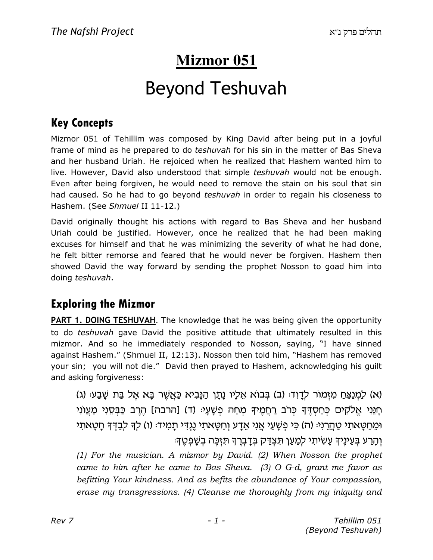## **Mizmor 051**

# Beyond Teshuvah

### Key Concepts

Mizmor 051 of Tehillim was composed by King David after being put in a joyful frame of mind as he prepared to do *teshuvah* for his sin in the matter of Bas Sheva and her husband Uriah. He rejoiced when he realized that Hashem wanted him to live. However, David also understood that simple teshuvah would not be enough. Even after being forgiven, he would need to remove the stain on his soul that sin had caused. So he had to go beyond *teshuvah* in order to regain his closeness to Hashem. (See Shmuel II 11-12.)

David originally thought his actions with regard to Bas Sheva and her husband Uriah could be justified. However, once he realized that he had been making excuses for himself and that he was minimizing the severity of what he had done, he felt bitter remorse and feared that he would never be forgiven. Hashem then showed David the way forward by sending the prophet Nosson to goad him into doing teshuvah.

### Exploring the Mizmor

PART 1. DOING TESHUVAH. The knowledge that he was being given the opportunity to do teshuvah gave David the positive attitude that ultimately resulted in this mizmor. And so he immediately responded to Nosson, saying, "I have sinned against Hashem." (Shmuel II, 12:13). Nosson then told him, "Hashem has removed your sin; you will not die." David then prayed to Hashem, acknowledging his guilt and asking forgiveness:

(א) לַמְנַצֵּחַ מִזְמוֹר לְדָוִד: (ב) בְּבוֹא אֵלָיו נָתָן הַנָּבִיא כַּאֲשֶׁר בָּא אֶל בַּת שָׁבַע: (ג) ּחֲנֵּי אֱלֹקִים כִּחַסְדֶּךְ כִּרֹב רַחֲמֵיךָ מִחֵה פְשָׁעָיּ (ד) [הרבה] הֶרֶב כַּבְסֵיִי מֵעֲוֹנִי וּמֵחַטֵּאתִי טַהֲרֵנִיּ (ה) כִּי פִשָּׁעַי אֲנִי אֵדָע וְחַטָּאתִי נֵגְדִּי תָמִידּ: (ו) לִדְּ לִבַּדְּדָּ חָטָאתִי ֿוְהַרַע בִּעֵינֵיךָ עַשִׂיתִי לְמַעַן תִּצְדַּק בִּדָבְרֵךְ תִּזְכֵּה בִשָּׁפִטֵךְ

(1) For the musician. A mizmor by David. (2) When Nosson the prophet came to him after he came to Bas Sheva. (3) O G-d, grant me favor as befitting Your kindness. And as befits the abundance of Your compassion, erase my transgressions. (4) Cleanse me thoroughly from my iniquity and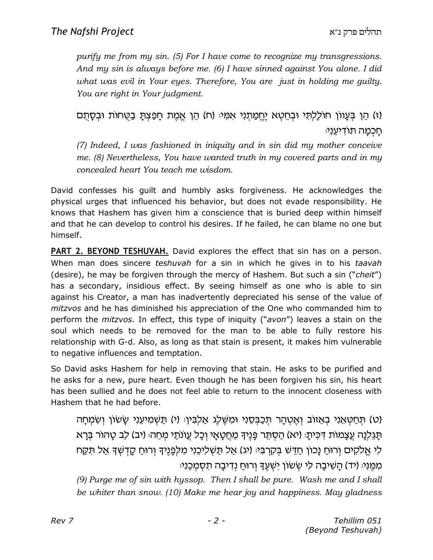purify me from my sin. (5) For I have come to recognize my transgressions. And my sin is always before me. (6) I have sinned against You alone. I did what was evil in Your eyes. Therefore, You are just in holding me quilty. You are right in Your judgment.

(ז) הֵן בִּעָווֹן חוֹלָלִתְּי וּבְחֵטָא יֵחֵמַתְנִי אִמְּיּ (ח) הֵן אֵמֵת חָפַצִתָּ בַטֶּחוֹת וּבִסָתֶם ּחַכְמַה תוֹדִיעֵנִי

(7) Indeed, I was fashioned in iniquity and in sin did my mother conceive me. (8) Nevertheless, You have wanted truth in my covered parts and in my concealed heart You teach me wisdom.

David confesses his guilt and humbly asks forgiveness. He acknowledges the physical urges that influenced his behavior, but does not evade responsibility. He knows that Hashem has given him a conscience that is buried deep within himself and that he can develop to control his desires. If he failed, he can blame no one but himself.

**PART 2. BEYOND TESHUVAH.** David explores the effect that sin has on a person. When man does sincere *teshuvah* for a sin in which he gives in to his taavah (desire), he may be forgiven through the mercy of Hashem. But such a sin ("cheit") has a secondary, insidious effect. By seeing himself as one who is able to sin against his Creator, a man has inadvertently depreciated his sense of the value of mitzvos and he has diminished his appreciation of the One who commanded him to perform the *mitzvos*. In effect, this type of iniquity ("avon") leaves a stain on the soul which needs to be removed for the man to be able to fully restore his relationship with G-d. Also, as long as that stain is present, it makes him vulnerable to negative influences and temptation.

So David asks Hashem for help in removing that stain. He asks to be purified and he asks for a new, pure heart. Even though he has been forgiven his sin, his heart has been sullied and he does not feel able to return to the innocent closeness with Hashem that he had before.

(ט) תּחַטְאֵנִי בְאֵזוֹב וְאֵטְהַר תִּכַבְּסֶנִי וּמְשֶׁלֵג אֲלִבְּין: (י) תַּשָּׁמִיעֶנִי שַׂשׂוֹן וְשָׂמְחַה ּתַּגְלִנָּה עֵצָמוֹת דִּכִּיתַ: (יא) הַסְתֵּר פָּנֵיךָ מֵחֲטָאַי וְכָל עֵוֹנֹתַי מִחֵה: (יב) לֶב טַהוֹר בְּרָא לִי אֱלֹקִים וְרוּחַ נַכוֹן חַדֵּשׁ בִּקְרְבִּיּ (יג) אֲל תַּשְׁלִיכֵנִי מִלְפָנֵיךָ וְרוּחַ קַדְשָׁךָ אֲל תִּקַח ּמְמֵנִי: (יד) הַשִּׁיבָה לִי שִׂשׁוֹן יִשְׁעֵךְ וְרוּחַ נִדְיבָה תְסָמְכֵנִי:

(9) Purge me of sin with hyssop. Then I shall be pure. Wash me and I shall be whiter than snow. (10) Make me hear joy and happiness. May gladness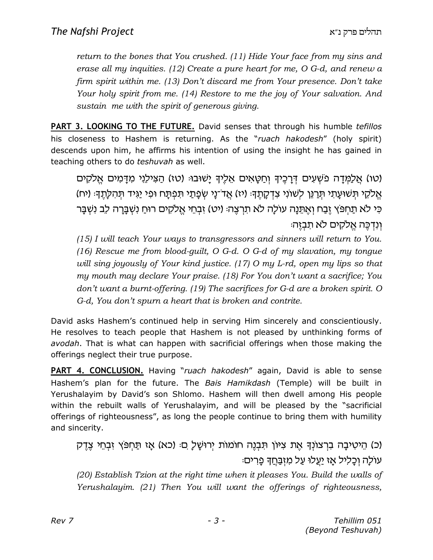return to the bones that You crushed. (11) Hide Your face from my sins and erase all my inquities. (12) Create a pure heart for me, O G-d, and renew a firm spirit within me. (13) Don't discard me from Your presence. Don't take Your holy spirit from me. (14) Restore to me the joy of Your salvation. And sustain me with the spirit of generous giving.

PART 3. LOOKING TO THE FUTURE. David senses that through his humble tefillos his closeness to Hashem is returning. As the "ruach hakodesh" (holy spirit) descends upon him, he affirms his intention of using the insight he has gained in teaching others to do teshuvah as well.

יטו) אֱלַמְדַה פֹּשָׁעִים דְּרָכֶיךָ וְחַטַּאִים אֱלֵיךָ יַשׁוּבוּ: (טו) הַצִּילֶנִי מְדַמִים אֱלֹקִים) אֱלֹקֶי תִּשׁוּעֲתָי תְּרֵנֵּן לְשׁוֹנִי צְדְקַתֶּךָ: (יז) אֲדֹ־נֵי שְׂפָתַי תִּפְתַּח וּפִי יַגְּיד תִּהְלַתֵךְ: (יח) כִּי לֹא תַחִפּץ זֶבַח וְאֵתֶּנַה עוֹלַה לֹא תִרְצֶה: (יט) זָבְחֵי אֱלֹקִים רוּחַ נִשְׁבַּרָה לֶב נִשְׁבַּר וִנְדְכֵּה אֱלֹקִים לֹא תִבְזֵה:

(15) I will teach Your ways to transgressors and sinners will return to You. (16) Rescue me from blood-guilt, O G-d. O G-d of my slavation, my tongue will sing joyously of Your kind justice. (17) O my L-rd, open my lips so that my mouth may declare Your praise. (18) For You don't want a sacrifice; You don't want a burnt-offering. (19) The sacrifices for G-d are a broken spirit. O G-d, You don't spurn a heart that is broken and contrite.

David asks Hashem's continued help in serving Him sincerely and conscientiously. He resolves to teach people that Hashem is not pleased by unthinking forms of avodah. That is what can happen with sacrificial offerings when those making the offerings neglect their true purpose.

PART 4. CONCLUSION. Having "ruach hakodesh" again, David is able to sense Hashem's plan for the future. The Bais Hamikdash (Temple) will be built in Yerushalayim by David's son Shlomo. Hashem will then dwell among His people within the rebuilt walls of Yerushalayim, and will be pleased by the "sacrificial offerings of righteousness", as long the people continue to bring them with humility and sincerity.

(כ) הֵיטִיבָה בְרָצוֹנְךָ אֶת צִיּוֹן תִּבְנֵה חוֹמוֹת יְרוּשֶׁל ָם (כא) אֶז תַּחִפּץ זְבְחֵי צֶדֶק עוֹלַה וְכַלִיל אֵז יַעֲלוּ עַל מִזְבַּחֵדְ פַרִים:

(20) Establish Tzion at the right time when it pleases You. Build the walls of Yerushalayim. (21) Then You will want the offerings of righteousness,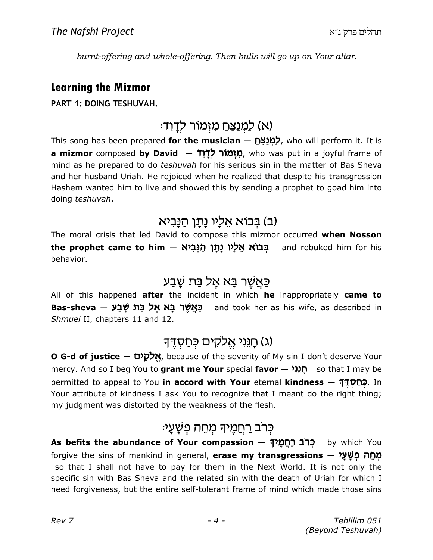burnt-offering and whole-offering. Then bulls will go up on Your altar.

#### Learning the Mizmor

#### PART 1: DOING TESHUVAH.

## א) לַמְנַצֵּחַ מִזְמוֹר לְדַוְד<sup>ָ.</sup>)

This song has been prepared for the musician  $-$  לְמַנַצֶּת who will perform it. It is a **mizmor** composed **by David** — מִ**יְמוֹר לְדָוִד, who was put in a joyful frame of** mind as he prepared to do teshuvah for his serious sin in the matter of Bas Sheva and her husband Uriah. He rejoiced when he realized that despite his transgression Hashem wanted him to live and showed this by sending a prophet to goad him into doing teshuvah.

## (ב) בְּבוֹא אֵלָיו נַתַו הַנַּבִיא

The moral crisis that led David to compose this mizmor occurred when Nosson t**he prophet came to him – בְּבוֹא אֵלְיו נָתָן הַנָּבִיא**<br>ב**ּנוֹא אֵל**ָ**יו נָתָן הַנָּבִיא i** and rebuked him for his behavior.

### כַּאֲשֶׁר בָּא אֵל בַּת שָ<del>ׁ</del>בַע

All of this happened after the incident in which he inappropriately came to Bas-sheva – מאשר בא אל בת שבע bas-sheva – and took her as his wife, as described in Shmuel II, chapters 11 and 12.

## (ג) חַנֵּנִי אֱלקים כְּחַסְדֵך

O G-d of justice — אֱלֹקִים, because of the severity of My sin I don't deserve Your mercy. And so I beg You to grant me Your special favor  $-$  חֲגַנִי $\mathfrak{p}\quad$  so that I may be permitted to appeal to You in accord with Your eternal kindness  $-$  5100. In Your attribute of kindness I ask You to recognize that I meant do the right thing; my judgment was distorted by the weakness of the flesh.

## ּכִּרֹב רַחֲמֵיּךָ מָחֶה פָּשַׁעֲי

As befits the abundance of Your compassion – כְּרֹב רַחֲמֵיךָ by which You forgive the sins of mankind in general, **erase my transgressions** — מְחֵה פְּשַׁעַ*י* so that I shall not have to pay for them in the Next World. It is not only the specific sin with Bas Sheva and the related sin with the death of Uriah for which I need forgiveness, but the entire self-tolerant frame of mind which made those sins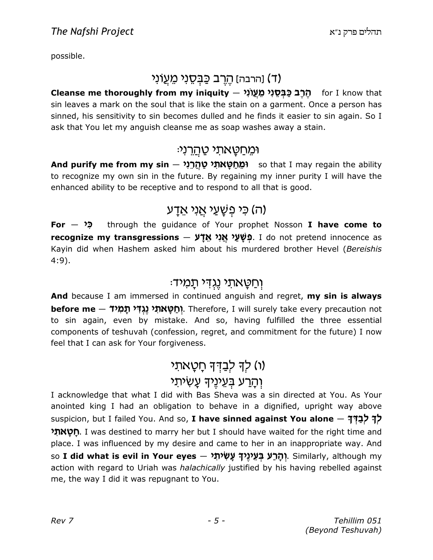possible.

### (ד) וַהרבה) הֵרֶב כַּבְּסֶנִי מֵעֲוֹנִי)

Cleanse me thoroughly from my iniquity — הֶרֶב כַּבְּסֵנִי מֵעֲוֹנִי<br>הַרָּב כַּבְּסֵנִי מֵעֲוֹנִי — for I know that sin leaves a mark on the soul that is like the stain on a garment. Once a person has sinned, his sensitivity to sin becomes dulled and he finds it easier to sin again. So I ask that You let my anguish cleanse me as soap washes away a stain.

#### וּמֵחַטַאתי טַ<u>הְר</u>ִנִי<sub></sub>

<mark>And purify me from my sin 〜 יֹמֵחַטָּאתִל טַהְרֵנִי</mark> so that I may regain the ability to recognize my own sin in the future. By regaining my inner purity I will have the enhanced ability to be receptive and to respond to all that is good.

### ה) כ*י* פִשָּׁעַי אֲני אֵדָע)

 $For - *2*$ through the guidance of Your prophet Nosson  $I$  have come to  ${\sf recognize}$  my transgressions  $-$  פְּשָׁעַי אֲנִי אֵדָע. I do not pretend innocence as Kayin did when Hashem asked him about his murdered brother Hevel (Bereishis 4:9).

### :וחטאתי נגדי תמיד

And because I am immersed in continued anguish and regret, my sin is always <mark>ּhefore me – יְחַטָּאתִי נֶגְדִּי תָמִיד .</mark> Therefore, I will surely take every precaution not to sin again, even by mistake. And so, having fulfilled the three essential components of teshuvah (confession, regret, and commitment for the future) I now feel that I can ask for Your forgiveness.

## (ו) לך לבדך חָטָאתי וְהָרַע בִּעֳינֵיה*ּ* עַשׂיתִי

I acknowledge that what I did with Bas Sheva was a sin directed at You. As Your anointed king I had an obligation to behave in a dignified, upright way above suspicion, but I failed You. And so, I have sinned against You alone  $-$  לְךָ לְבַדְךָ <mark>ָתָטְאתִי,</mark> I was destined to marry her but I should have waited for the right time and place. I was influenced by my desire and came to her in an inappropriate way. And so **I did what is evil in Your eyes – יְהֶרַעׁ בְּעֵינֶיךָ עָשִׂיתָי,** Similarly, although my action with regard to Uriah was halachically justified by his having rebelled against me, the way I did it was repugnant to You.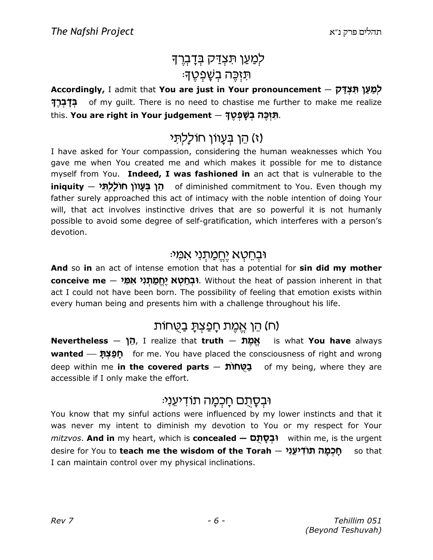## לְמַעַן תִּצְדַּק בְּדָבְרֶךָ ּתַזְכֵּה בִשָּׁפְטֵדָ

Accordingly, I admit that **You are just in Your pronouncement** — לְמַעַן תִּצְדַ*י*ק Wr c s C of my guilt. There is no need to chastise me further to make me realize this. **You are right in Your judgement** — תִּיְכֶּה בְשָׁפְטֶךָ.

## ו) הֵן בִּעֲווֹן חוֹלַלִת*ּי*

I have asked for Your compassion, considering the human weaknesses which You gave me when You created me and which makes it possible for me to distance myself from You. Indeed, I was fashioned in an act that is vulnerable to the i**niquity — הֵי בְּעָווֹן חוֹלָלְתָּי o**f diminished commitment to You. Even though my father surely approached this act of intimacy with the noble intention of doing Your will, that act involves instinctive drives that are so powerful it is not humanly possible to avoid some degree of self-gratification, which interferes with a person's devotion.

#### ובחטא <u>יחמתני</u> אמי:

And so in an act of intense emotion that has a potential for sin did my mother **conceive me — יְהֶמַתְנִי אִמִּי?** Out the heat of passion inherent in that act I could not have been born. The possibility of feeling that emotion exists within every human being and presents him with a challenge throughout his life.

#### n) הֵן אֲמֶת חַפַּצְתַּ בַטַחוֹת)

Nevertheless  $-$  הֶן, I realize that truth  $-$  אֱמֶתּ $\mu$  is what You have always wanted  $\sim$   $\mathbf{Q}$  me. You have placed the consciousness of right and wrong deep within me in the covered parts  $-$  to  $\mathbf{C}$  of my being, where they are accessible if I only make the effort.

#### וּבִסַתְם חַכִּמַה תוֹדִיעֵנִי:

You know that my sinful actions were influenced by my lower instincts and that it was never my intent to diminish my devotion to You or my respect for Your  $m$ itzvos. **And in** my heart, which is **concealed — יִבְּסַתְּם**) within me, is the urgent desire for You to **teach me the wisdom of the Torah — חֶכְמָ***ה* **תוֹדְיעֵנִי** I can maintain control over my physical inclinations.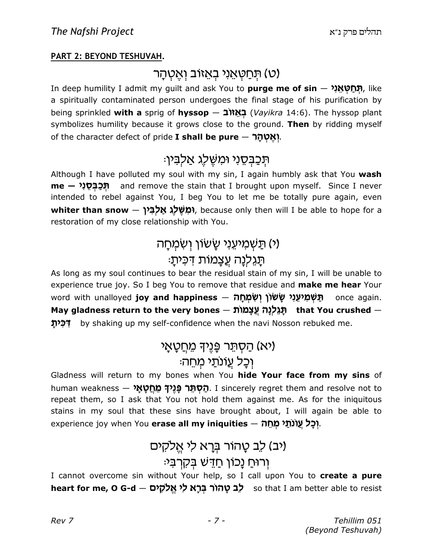#### PART 2: BEYOND TESHUVAH.

### י תּחַטְאֵני בְּאֵזוֹב וְאֱטְהָר)

In deep humility I admit my guilt and ask You to **purge me of sin** — <mark>תְּחַטְאֵנִי,</mark> like a spiritually contaminated person undergoes the final stage of his purification by being sprinkled with a sprig of hyssop  $-$  בְּאֵזוֹב (Vayikra 14:6). The hyssop plant symbolizes humility because it grows close to the ground. Then by ridding myself of the character defect of pride I shall be pure  $-$  יואֲטְהַר.

### ּהִכַּבְּסֶנִי וּמִשֶּׁלֵג אַלְבִּין:

Although I have polluted my soul with my sin, I again humbly ask that You wash **me — תְּכַבְּסֵוִי – a**nd remove the stain that I brought upon myself. Since I never intended to rebel against You, I beg You to let me be totally pure again, even  $\bm{{\sf whiter}}$  than snow  $-$  הָמְשֶּׁל, because only then will I be able to hope for a restoration of my close relationship with You.

## י) תַּשׁמיעָני שַׂשׂוֹן ושׂמחה) ּתַגְלִנַה עֵצַמוֹת דִּכִּיתַ:

As long as my soul continues to bear the residual stain of my sin, I will be unable to experience true joy. So I beg You to remove that residue and make me hear Your word with unalloyed **joy and happiness — מִיעֵנִי שָׂשׂוֹן וְשִׂמְחָה** once again. May gladness return to the very bones  $-$  תֲגֶלְנָה עֲצָמוֹת that You crushed  $-$ לְכָּ<mark>יתָ by shaking up my self-confidence when the navi Nosson rebuked me.</mark>

### יא) הַסְתֵּר פַּנֵיךָ מֵחֲטָאַי)

### וִכָּל עֵוֹנו<u>ּת</u>י מִחֵה

Gladness will return to my bones when You hide Your face from my sins of human weakness — הַסְתָּר פְּגֵיךָ מֵחֲטָאַ . I sincerely regret them and resolve not to repeat them, so I ask that You not hold them against me. As for the iniquitous stains in my soul that these sins have brought about, I will again be able to experience joy when You erase all my iniquities  $-$  nh).

## (יב) לֶב טַהוֹר בְּרַא לִי אֱלֹקִים ורוּחַ נָכוֹן חַדֵּשׁ בִּקְרִבִּי:

I cannot overcome sin without Your help, so I call upon You to create a pure h**eart for me, O G-d — לֵב טָהוֹר בְּרָא לִי אֱלֹקִים s**o that I am better able to resist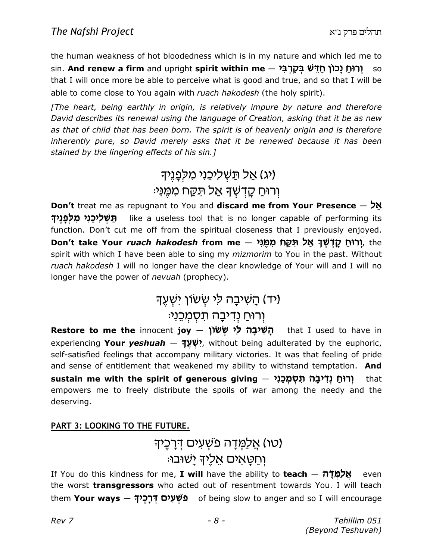the human weakness of hot bloodedness which is in my nature and which led me to sin. **And renew a firm** and upright **spirit within me** — יְ**רוּחַ נָכוֹן חַדֵּשׁ בְּקִרְבִּי**<br>so that I will once more be able to perceive what is good and true, and so that I will be able to come close to You again with ruach hakodesh (the holy spirit).

[The heart, being earthly in origin, is relatively impure by nature and therefore David describes its renewal using the language of Creation, asking that it be as new as that of child that has been born. The spirit is of heavenly origin and is therefore inherently pure, so David merely asks that it be renewed because it has been stained by the lingering effects of his sin.]

## אל תַּשְׁלִיכֵנִי מִלְפַנֵי<del>ן</del>) (יג וְרוּחַ קַדְשָׁךָ אֲל תְּקָח מְמֶנִי:

Don't treat me as repugnant to You and discard me from Your Presence  $-$  אַל יִכֵּנִי מִלְפָנֶיךָ like a useless tool that is no longer capable of performing its function. Don't cut me off from the spiritual closeness that I previously enjoyed. D<mark>on't take Your *ruach hakodesh* from me — יְרוּחַ קָדְשְׁךָ אַל תִּקַּח מִמֶּנִי, t</mark>he spirit with which I have been able to sing my *mizmorim* to You in the past. Without ruach hakodesh I will no longer have the clear knowledge of Your will and I will no longer have the power of *nevuah* (prophecy).

## (יד) הָשִׁיבָה לִי שְׂשׂוֹן יִשְׁעֵךְ

## וְרוּחַ נְדִיבָה תַּסְמְכֵנ*י*:

Restore to me the innocent joy – תְּשִׁיבָה לִי שְׂשׂוֹן that I used to have in experiencing **Your** *yeshuah* **— יִשְׁעֶךָ?**, without being adulterated by the euphoric, self-satisfied feelings that accompany military victories. It was that feeling of pride and sense of entitlement that weakened my ability to withstand temptation. And s<mark>ustain me with the spirit of generous giving – יְרוּחַ נְדִּיבָה תִסְמְכֵנִי</mark> that empowers me to freely distribute the spoils of war among the needy and the deserving.

#### PART 3: LOOKING TO THE FUTURE.

## (טו) אֲלַמְדָה פּשָׁעִים דְּרָכֵיךָ וּחַטַאִים אַלִידְ <u>י</u>שׁוּבוּ:

If You do this kindness for me, **I will** have the ability to **teach**  $\frac{M\alpha}{100}$  even the worst **transgressors** who acted out of resentment towards You. I will teach them **Your ways — מֹשְׁעִים דְּרָכֶיךָ o**f being slow to anger and so I will encourage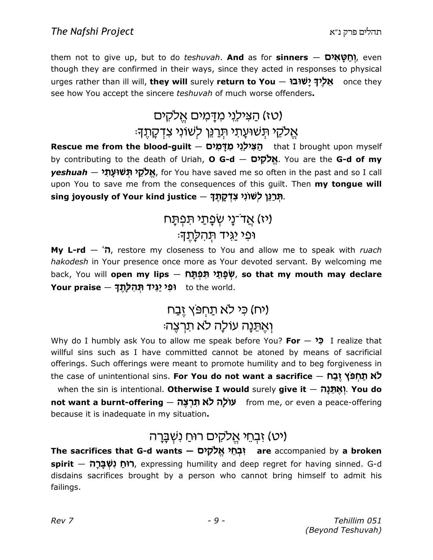them not to give up, but to do *teshuvah*. **And** as for **sinners**  $-$  **מָאֲיֹם)**, even though they are confirmed in their ways, since they acted in responses to physical urges rather than ill will, they will surely return to You — אֲלָיךָ יַשׁוּבוּ once they see how You accept the sincere teshuvah of much worse offenders.

## וטז) הצילני מדמים אלקים) אֵלקֵי תִּשׁוּעַתי תַרַנֵּן לְשׁוֹנִי צִדְקַתֵ<del>ּן.</del>

Rescue me from the blood-guilt — הַצִּילְגִי מִדְמִים that I brought upon myself by contributing to the death of Uriah, **O G-d — אֱלֹקִים** . You are the **G-d of my**  $y$ eshuah — אֱלֹקֵי תְּשׁוּעָתִי, for You have saved me so often in the past and so I call upon You to save me from the consequences of this quilt. Then my tonque will sing joyously of Your kind justice — תְּרַגֵּן לְשׁוֹנִי צִדְקָתֶךָ.

## (יז) אֲד־נָי שְׂפָתַי תּפְתָּח ופי <u>י</u>גיד תהלתה:

**My L-rd**  $\hat{\tau}$ , restore my closeness to You and allow me to speak with *ruach* hakodesh in Your presence once more as Your devoted servant. By welcoming me back, You will **open my lips – שְׁפָּתַ***ּי* **תִּפְתָּח, so that my mouth may declare** יפי יַגְּיד תְּהִלְתֶךָ – **Your praise**<br>נוּ י*וֹם t*o the world.

## (יח) כ*ּי לא תַחִפּץ* זֵבַח וְאֵתֵּנַה עוֹלַה לא תֹרְצֵה:

Why do I humbly ask You to allow me speak before You? For  $\rightarrow$  I realize that willful sins such as I have committed cannot be atoned by means of sacrificial offerings. Such offerings were meant to promote humility and to beg forgiveness in the case of unintentional sins. **For You do not want a sacrifice — לֹא תַּחְפּׂץ יֶבַח** when the sin is intentional. Otherwise I would surely give it  $-$  *הְאֱתֶּנָה!* You do n**ot want a burnt-offering — עוֹלָה לֹא תִּרְצֶה**<br>ע**וֹל<sub>ָ</sub>ה לא תִרְצֶה from me, or even a peace-offering** because it is inadequate in my situation.

## יכוי אֱלקים רוּחַ נִשְׁבַּרַה)

The sacrifices that G-d wants — זִבְחֵי אֱלֹקִים are accompanied by a broken **spirit — רוּחַ נִשְׁבָּרָה,** expressing humility and deep regret for having sinned. G-d disdains sacrifices brought by a person who cannot bring himself to admit his failings.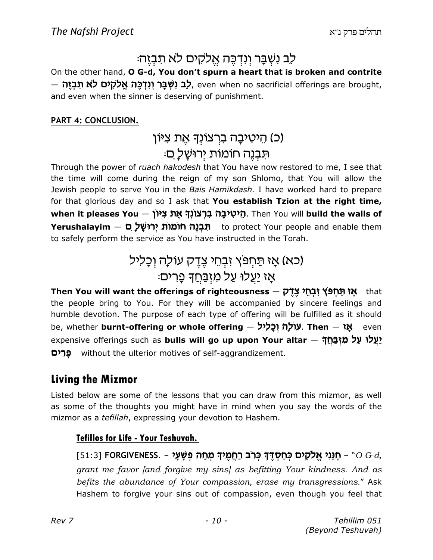## לֵב נִשְׁבַּר וְנִדְכֵּה אֱלֹקִים לֹא תִבְזֵה:

On the other hand, O G-d, You don't spurn a heart that is broken and contrite — לָב נִשְּׁבָּר וְנִדְכֶּה אֱלֹקִים לֹא תִּבְזֶה, even when no sacrificial offerings are brought, and even when the sinner is deserving of punishment.

#### PART 4: CONCLUSION.

## וֹכ) הֵיטִיבָה ברְצוֹנִדְ אֶת צִיּוֹן) ּתִּבְנֵה חוֹמוֹת יִרוּשָׁלַ ִם

Through the power of ruach hakodesh that You have now restored to me, I see that the time will come during the reign of my son Shlomo, that You will allow the Jewish people to serve You in the Bais Hamikdash. I have worked hard to prepare for that glorious day and so I ask that **You establish Tzion at the right time,** m הֵיטִיבָה בִרְצוֹנְךָ אֶת צִיּוֹן when it pleases You — הֵיטִיבָה בִרְצוֹנְךָ. Then You will build the walls of **Yerushalayim — תִּבְנֶה חומות יְרוּשָׁל ָם yerushalayim — n** to protect Your people and enable them to safely perform the service as You have instructed in the Torah.

## (כא) אָז תַּחִפּץ זִבְחֵי צְדֵק עוֹלָה וְכָלִיל :<mark>אַז יַעֲלוּ עַל מִזְבַּחֲד</mark>ָ פֶרִים

T<mark>hen You will want the offerings of righteousness  $-$  אֲז תַּחְפּ<sup>ּ</sup>ץ זְבְחֵי צֶדֶ*י* (that</mark> the people bring to You. For they will be accompanied by sincere feelings and humble devotion. The purpose of each type of offering will be fulfilled as it should be, whether **burnt-offering or whole offering — עוֹלָה וְכָלִיל cv**en expensive offerings such as **bulls will go up upon Your altar** — <mark>יָעֲלוּ עַל מִזְבַּחֲד</mark>ָ **פְרִים** without the ulterior motives of self-aggrandizement.

### Living the Mizmor

Listed below are some of the lessons that you can draw from this mizmor, as well as some of the thoughts you might have in mind when you say the words of the mizmor as a tefillah, expressing your devotion to Hashem.

#### Tefillos for Life - Your Teshuvah.

[51:3] FORGIVENESS. – פְגֵּנִי אֱלֹקִים בְּחַסְדֶּךָ כְּרֹב רַחֲמֶיךָ מְחֵה פְשָׁעָי, FORGIVENESS. – הַגֵּנִי אֱלֹקִים בְּחַסְדֶּךָ grant me favor [and forgive my sins] as befitting Your kindness. And as befits the abundance of Your compassion, erase my transgressions." Ask Hashem to forgive your sins out of compassion, even though you feel that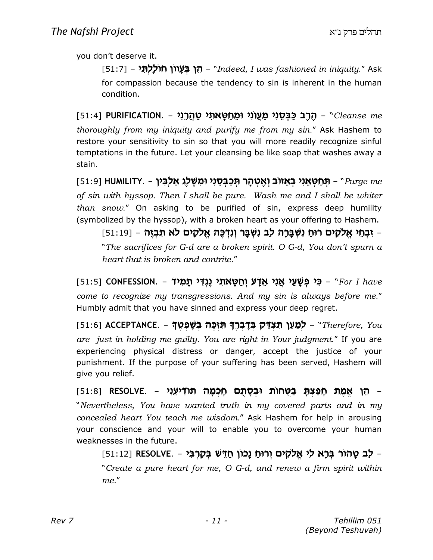you don't deserve it.

[51:7] – הֵן בְּעָווֹן חוללָתְ*וּ – "Indeed, I was fashioned in iniquity."* Ask for compassion because the tendency to sin is inherent in the human condition.

ַהֶּרֶב כַּבְּסֵנִי מֵעֲוֹנִי וּמֵחַטָּאתִי טַהֲרֵנִי - NURIFICATION. (51:4) (51:4) thoroughly from my iniquity and purify me from my sin." Ask Hashem to restore your sensitivity to sin so that you will more readily recognize sinful temptations in the future. Let your cleansing be like soap that washes away a stain.

ַ (אָטְהָר תְּכַבְּסֵנִי וּמִשֶּׁלֶג אַלְבִּיךְ HUMILITY. – תְּחַטְאֵנִי בְאֵזוֹב וְאֶטְהָר תְּכַבְּסֵנִי וּמִשֶּׁל of sin with hyssop. Then I shall be pure. Wash me and I shall be whiter than snow." On asking to be purified of sin, express deep humility (symbolized by the hyssop), with a broken heart as your offering to Hashem.

ןּבְחֵי אֱלֹקִים רוּחַ נִשְׁבָּרָה לֵב נִשְּׁבָּר וְנִדְּכֶּה אֱלֹקִים לֹא תִבְזֶה - [11:19] -"The sacrifices for G-d are a broken spirit. O G-d, You don't spurn a heart that is broken and contrite."

[51:5] CONFESSION. – רָי פְּשָׁעַי אֲנִי אֵדָע וְחַטָּאתִי נֶגְדִּי תָמִיד (51:51 – CONFESSION. – ב come to recognize my transgressions. And my sin is always before me." Humbly admit that you have sinned and express your deep regret.

[51:6] A**CCEPTANCE. – לְמַעַן תִּצְדַּק בְּדָבְרֶךְ תִּזְכֶּה בְשָׁפְטֶךְ** - Therefore, You are just in holding me guilty. You are right in Your judgment." If you are experiencing physical distress or danger, accept the justice of your punishment. If the purpose of your suffering has been served, Hashem will give you relief.

ַּהֶן אֱמֶת חָפַּצְתָּ בַּטֻּחוֹת וּבְסָתֻם חָכְמָה תּוֹדִיעֵנִי – RESOLVE. [51:8] (51:8] "Nevertheless, You have wanted truth in my covered parts and in my concealed heart You teach me wisdom." Ask Hashem for help in arousing your conscience and your will to enable you to overcome your human weaknesses in the future.

ב טָהוֹר בְּרָא לִי אֱלֹקִים וְרוּחַ נָכוֹן חַדֵּשׁ בְּקִרְבִּי - .RESOLVE [51:12] -"Create a pure heart for me, O G-d, and renew a firm spirit within me."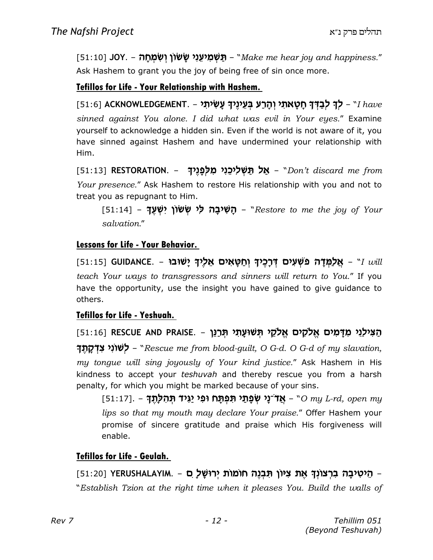[51:10] JOY. – תַּשְׁמִיעֵנִי שָׂשׂוֹן וְשִׂמְחָה - Nake me hear joy and happiness." Ask Hashem to grant you the joy of being free of sin once more.

#### Tefillos for Life - Your Relationship with Hashem.

 $[51:6]$  ACKNOWLEDGEMENT. – לְךָ לְבַדְּךָ חָטָאתִי וְהָרַע בְּעֵינֶיךָ עָשִׂיתִי ( $have$ sinned against You alone. I did what was evil in Your eyes." Examine yourself to acknowledge a hidden sin. Even if the world is not aware of it, you have sinned against Hashem and have undermined your relationship with Him.

[51:13] **RESTORATION. – אַל תַּשְׁלִיכֵנִי מִלְפָּנֶיךָ** – "Don't discard me from Your presence." Ask Hashem to restore His relationship with you and not to treat you as repugnant to Him.

[51:14] **– הָשִׁיבָה לִי שְׂשׂוֹן יִשְּׁעֶךָ**, "Restore to me the joy of Your salvation."

#### Lessons for Life - Your Behavior.

[51:15] GUIDANCE. – אֲלַמְּדָה פֹשְׁעִים דְּרָכֶיךָ וְחַטָּאִים אֵלֶיךָ יָשׁוּבוּ teach Your ways to transgressors and sinners will return to You." If you have the opportunity, use the insight you have gained to give guidance to others.

#### Tefillos for Life - Yeshuah.

הַצִּילֵגִי מִדָּמִים אֱלֹקִים אֱלֹקֵי תְּשׁוּעָתִי תְּרַנֵּן – S1:16] RESCUE AND PRAISE.

ל**ְשׁוֹנִי צִדְקָתֶךְ -** "Rescue me from blood-guilt, O G-d. O G-d of my slavation, my tongue will sing joyously of Your kind justice." Ask Hashem in His kindness to accept your teshuvah and thereby rescue you from a harsh penalty, for which you might be marked because of your sins.

ַ אֲדֹ־נָי שְׂפָתַי תִּפְתָּח וּפִי יַגִּיד תְּהִלְתֶךָ – . [51:17] [51:17]] - [51:17] lips so that my mouth may declare Your praise." Offer Hashem your promise of sincere gratitude and praise which His forgiveness will enable.

#### Tefillos for Life - Geulah.

הַיטִיבָה בִרְצוֹנְךָ אֶת צִיּוֹן תִּבְנֶה חוֹמוֹת יְרוּשָׁל ָם – YERUSHALAYIM. – הֵיטִיבָה בִרְצוֹנְךָ אֶת צִיּוֹן "Establish Tzion at the right time when it pleases You. Build the walls of